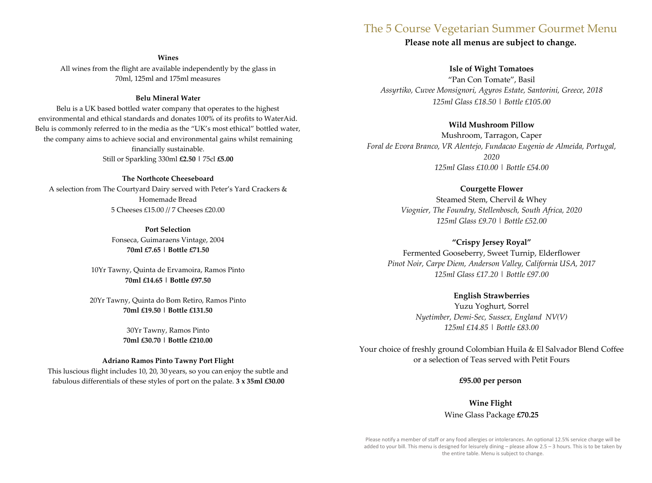# The 5 Course Vegetarian Summer Gourmet Menu

# **Please note all menus are subject to change.**

**Wines** All wines from the flight are available independently by the glass in 70ml, 125ml and 175ml measures

### **Belu Mineral Water**

Belu is a UK based bottled water company that operates to the highest environmental and ethical standards and donates 100% of its profits to WaterAid. Belu is commonly referred to in the media as the "UK's most ethical" bottled water, the company aims to achieve social and environmental gains whilst remaining financially sustainable. Still or Sparkling 330ml **£2.50 |** 75cl **£5.00** 

# **The Northcote Cheeseboard**

A selection from The Courtyard Dairy served with Peter's Yard Crackers & Homemade Bread 5 Cheeses £15.00 // 7 Cheeses £20.00

> **Port Selection**  Fonseca, Guimaraens Vintage, 2004 **70ml £7.65 | Bottle £71.50**

10Yr Tawny, Quinta de Ervamoira, Ramos Pinto **70ml £14.65 | Bottle £97.50** 

20Yr Tawny, Quinta do Bom Retiro, Ramos Pinto **70ml £19.50 | Bottle £131.50** 

> 30Yr Tawny, Ramos Pinto **70ml £30.70 | Bottle £210.00**

#### **Adriano Ramos Pinto Tawny Port Flight**

This luscious flight includes 10, 20, 30 years, so you can enjoy the subtle and fabulous differentials of these styles of port on the palate. **3 x 35ml £30.00**

**Isle of Wight Tomatoes** "Pan Con Tomate", Basil *Assyrtiko, Cuvee Monsignori, Agyros Estate, Santorini, Greece, 2018 125ml Glass £18.50 | Bottle £105.00*

### **Wild Mushroom Pillow**

Mushroom, Tarragon, Caper *Foral de Evora Branco, VR Alentejo, Fundacao Eugenio de Almeida, Portugal, 2020 125ml Glass £10.00 | Bottle £54.00*

## **Courgette Flower**

Steamed Stem, Chervil & Whey *Viognier, The Foundry, Stellenbosch, South Africa, 2020 125ml Glass £9.70 | Bottle £52.00*

### **"Crispy Jersey Royal"**

Fermented Gooseberry, Sweet Turnip, Elderflower *Pinot Noir, Carpe Diem, Anderson Valley, California USA, 2017 125ml Glass £17.20 | Bottle £97.00*

# **English Strawberries**

Yuzu Yoghurt, Sorrel *Nyetimber, Demi-Sec, Sussex, England NV(V) 125ml £14.85 | Bottle £83.00*

Your choice of freshly ground Colombian Huila & El Salvador Blend Coffee or a selection of Teas served with Petit Fours

**£95.00 per person**

**Wine Flight**  Wine Glass Package **£70.25**

Please notify a member of staff or any food allergies or intolerances. An optional 12.5% service charge will be added to your bill. This menu is designed for leisurely dining – please allow 2.5 – 3 hours. This is to be taken by the entire table. Menu is subject to change.